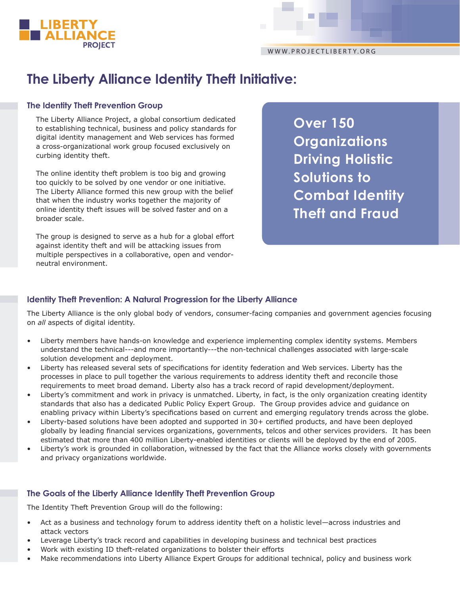

# **The Liberty Alliance Identity Theft Initiative:**

## **The Identity Theft Prevention Group**

The Liberty Alliance Project, a global consortium dedicated to establishing technical, business and policy standards for digital identity management and Web services has formed a cross-organizational work group focused exclusively on curbing identity theft.

The online identity theft problem is too big and growing too quickly to be solved by one vendor or one initiative. The Liberty Alliance formed this new group with the belief that when the industry works together the majority of online identity theft issues will be solved faster and on a broader scale.

The group is designed to serve as a hub for a global effort against identity theft and will be attacking issues from multiple perspectives in a collaborative, open and vendorneutral environment.

**Over 150 Organizations Driving Holistic Solutions to Combat Identity Theft and Fraud** 

# **Identity Theft Prevention: A Natural Progression for the Liberty Alliance**

The Liberty Alliance is the only global body of vendors, consumer-facing companies and government agencies focusing on *all* aspects of digital identity.

- Liberty members have hands-on knowledge and experience implementing complex identity systems. Members understand the technical---and more importantly---the non-technical challenges associated with large-scale solution development and deployment.
- Liberty has released several sets of specifications for identity federation and Web services. Liberty has the processes in place to pull together the various requirements to address identity theft and reconcile those requirements to meet broad demand. Liberty also has a track record of rapid development/deployment.
- Liberty's commitment and work in privacy is unmatched. Liberty, in fact, is the only organization creating identity standards that also has a dedicated Public Policy Expert Group. The Group provides advice and guidance on enabling privacy within Liberty's specifications based on current and emerging regulatory trends across the globe.
- Liberty-based solutions have been adopted and supported in 30+ certified products, and have been deployed globally by leading financial services organizations, governments, telcos and other services providers. It has been estimated that more than 400 million Liberty-enabled identities or clients will be deployed by the end of 2005.
- Liberty's work is grounded in collaboration, witnessed by the fact that the Alliance works closely with governments and privacy organizations worldwide.

## **The Goals of the Liberty Alliance Identity Theft Prevention Group**

The Identity Theft Prevention Group will do the following:

- Act as a business and technology forum to address identity theft on a holistic level—across industries and attack vectors
- Leverage Liberty's track record and capabilities in developing business and technical best practices
- Work with existing ID theft-related organizations to bolster their efforts
- Make recommendations into Liberty Alliance Expert Groups for additional technical, policy and business work